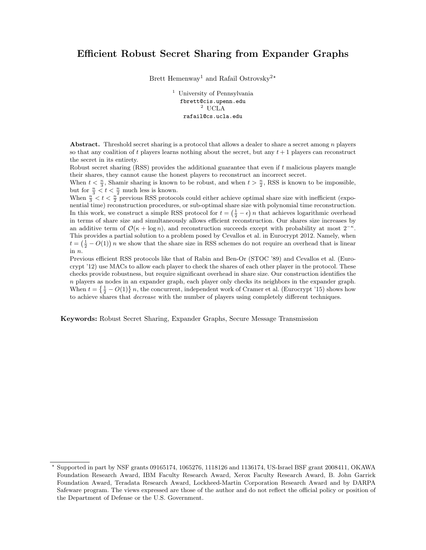# Efficient Robust Secret Sharing from Expander Graphs

Brett Hemenway<sup>1</sup> and Rafail Ostrovsky<sup>2\*</sup>

<sup>1</sup> University of Pennsylvania fbrett@cis.upenn.edu  $^2$  UCLA rafail@cs.ucla.edu

Abstract. Threshold secret sharing is a protocol that allows a dealer to share a secret among n players so that any coalition of t players learns nothing about the secret, but any  $t + 1$  players can reconstruct the secret in its entirety.

Robust secret sharing (RSS) provides the additional guarantee that even if t malicious players mangle their shares, they cannot cause the honest players to reconstruct an incorrect secret.

When  $t < \frac{n}{3}$ , Shamir sharing is known to be robust, and when  $t > \frac{n}{2}$ , RSS is known to be impossible, but for  $\frac{n}{3} < t < \frac{n}{2}$  much less is known.

When  $\frac{n}{3} < t < \frac{n}{2}$  previous RSS protocols could either achieve optimal share size with inefficient (exponential time) reconstruction procedures, or sub-optimal share size with polynomial time reconstruction. In this work, we construct a simple RSS protocol for  $t = (\frac{1}{2} - \epsilon) n$  that achieves logarithmic overhead in terms of share size and simultaneously allows efficient reconstruction. Our shares size increases by an additive term of  $\mathcal{O}(\kappa + \log n)$ , and reconstruction succeeds except with probability at most  $2^{-\kappa}$ . This provides a partial solution to a problem posed by Cevallos et al. in Eurocrypt 2012. Namely, when  $t = \left(\frac{1}{2} - O(1)\right)n$  we show that the share size in RSS schemes do not require an overhead that is linear in n.

Previous efficient RSS protocols like that of Rabin and Ben-Or (STOC '89) and Cevallos et al. (Eurocrypt '12) use MACs to allow each player to check the shares of each other player in the protocol. These checks provide robustness, but require significant overhead in share size. Our construction identifies the  $n$  players as nodes in an expander graph, each player only checks its neighbors in the expander graph. When  $t = \left\{\frac{1}{2} - O(1)\right\}n$ , the concurrent, independent work of Cramer et al. (Eurocrypt '15) shows how to achieve shares that decrease with the number of players using completely different techniques.

Keywords: Robust Secret Sharing, Expander Graphs, Secure Message Transmission

<sup>?</sup> Supported in part by NSF grants 09165174, 1065276, 1118126 and 1136174, US-Israel BSF grant 2008411, OKAWA Foundation Research Award, IBM Faculty Research Award, Xerox Faculty Research Award, B. John Garrick Foundation Award, Teradata Research Award, Lockheed-Martin Corporation Research Award and by DARPA Safeware program. The views expressed are those of the author and do not reflect the official policy or position of the Department of Defense or the U.S. Government.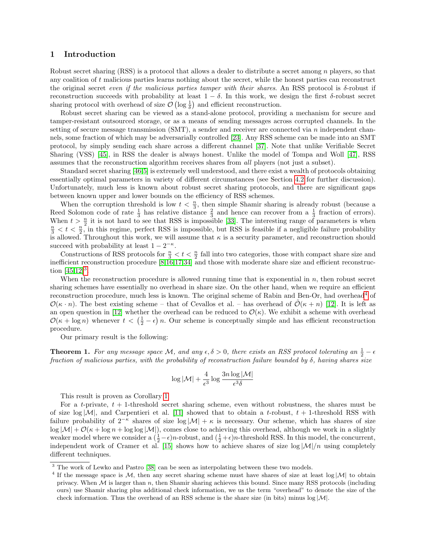## 1 Introduction

Robust secret sharing (RSS) is a protocol that allows a dealer to distribute a secret among n players, so that any coalition of t malicious parties learns nothing about the secret, while the honest parties can reconstruct the original secret even if the malicious parties tamper with their shares. An RSS protocol is  $\delta$ -robust if reconstruction succeeds with probability at least  $1 - \delta$ . In this work, we design the first  $\delta$ -robust secret sharing protocol with overhead of size  $\mathcal{O}(\log \frac{1}{\delta})$  and efficient reconstruction.

Robust secret sharing can be viewed as a stand-alone protocol, providing a mechanism for secure and tamper-resistant outsourced storage, or as a means of sending messages across corrupted channels. In the setting of secure message transmission (SMT), a sender and receiver are connected via n independent channels, some fraction of which may be adversarially controlled [\[23\]](#page-12-0). Any RSS scheme can be made into an SMT protocol, by simply sending each share across a different channel [\[37\]](#page-13-0). Note that unlike Verifiable Secret Sharing (VSS) [\[45\]](#page-13-1), in RSS the dealer is always honest. Unlike the model of Tompa and Woll [\[47\]](#page-13-2), RSS assumes that the reconstruction algorithm receives shares from all players (not just a subset).

Standard secret sharing [\[46,](#page-13-3)[5\]](#page-12-1) is extremely well understood, and there exist a wealth of protocols obtaining essentially optimal parameters in variety of different circumstances (see Section [4.2](#page-4-0) for further discussion). Unfortunately, much less is known about robust secret sharing protocols, and there are significant gaps between known upper and lower bounds on the efficiency of RSS schemes.

When the corruption threshold is low  $t < \frac{n}{3}$ , then simple Shamir sharing is already robust (because a Reed Solomon code of rate  $\frac{1}{3}$  has relative distance  $\frac{2}{3}$  and hence can recover from a  $\frac{1}{3}$  fraction of errors). When  $t > \frac{n}{2}$  it is not hard to see that RSS is impossible [\[33\]](#page-13-4). The interesting range of parameters is when  $\frac{n}{3} < t < \frac{n}{2}$ , in this regime, perfect RSS is impossible, but RSS is feasible if a negligible failure probability is allowed. Throughout this work, we will assume that  $\kappa$  is a security parameter, and reconstruction should succeed with probability at least  $1 - 2^{-\kappa}$ .

Constructions of RSS protocols for  $\frac{n}{3} < t < \frac{n}{2}$  fall into two categories, those with compact share size and inefficient reconstruction procedure [\[8,](#page-12-2)[16,](#page-12-3)[17](#page-12-4)[,34\]](#page-13-5) and those with moderate share size and efficient reconstruction  $[45, 12]^{3}$  $[45, 12]^{3}$  $[45, 12]^{3}$  $[45, 12]^{3}$ .

When the reconstruction procedure is allowed running time that is exponential in  $n$ , then robust secret sharing schemes have essentially no overhead in share size. On the other hand, when we require an efficient reconstruction procedure, much less is known. The original scheme of Rabin and Ben-Or, had overhead<sup>[4](#page-1-1)</sup> of  $\mathcal{O}(\kappa \cdot n)$ . The best existing scheme – that of Cevallos et al. – has overhead of  $\mathcal{O}(\kappa + n)$  [\[12\]](#page-12-5). It is left as an open question in [\[12\]](#page-12-5) whether the overhead can be reduced to  $\mathcal{O}(\kappa)$ . We exhibit a scheme with overhead  $\mathcal{O}(\kappa + \log n)$  whenever  $t < (\frac{1}{2} - \epsilon) n$ . Our scheme is conceptually simple and has efficient reconstruction procedure.

Our primary result is the following:

**Theorem 1.** For any message space M, and any  $\epsilon, \delta > 0$ , there exists an RSS protocol tolerating an  $\frac{1}{2} - \epsilon$ fraction of malicious parties, with the probability of reconstruction failure bounded by  $\delta$ , having shares size

$$
\log|\mathcal{M}| + \frac{4}{\epsilon^3} \log \frac{3n \log|\mathcal{M}|}{\epsilon^3 \delta}
$$

This result is proven as Corollary [1.](#page-10-0)

For a t-private,  $t + 1$ -threshold secret sharing scheme, even without robustness, the shares must be of size  $\log |\mathcal{M}|$ , and Carpentieri et al. [\[11\]](#page-12-6) showed that to obtain a t-robust,  $t + 1$ -threshold RSS with failure probability of  $2^{-\kappa}$  shares of size log  $|\mathcal{M}| + \kappa$  is necessary. Our scheme, which has shares of size  $\log |\mathcal{M}| + \mathcal{O}(\kappa + \log n + \log \log |\mathcal{M}|)$ , comes close to achieving this overhead, although we work in a slightly weaker model where we consider a  $(\frac{1}{2} - \epsilon)n$ -robust, and  $(\frac{1}{2} + \epsilon)n$ -threshold RSS. In this model, the concurrent, independent work of Cramer et al. [\[15\]](#page-12-7) shows how to achieve shares of size  $\log|M|/n$  using completely different techniques.

<span id="page-1-0"></span> $^3$  The work of Lewko and Pastro  $\left[38\right]$  can be seen as interpolating between these two models.

<span id="page-1-1"></span><sup>&</sup>lt;sup>4</sup> If the message space is M, then any secret sharing scheme must have shares of size at least  $\log|\mathcal{M}|$  to obtain privacy. When  $M$  is larger than n, then Shamir sharing achieves this bound. Since many RSS protocols (including ours) use Shamir sharing plus additional check information, we us the term "overhead" to denote the size of the check information. Thus the overhead of an RSS scheme is the share size (in bits) minus  $log |\mathcal{M}|$ .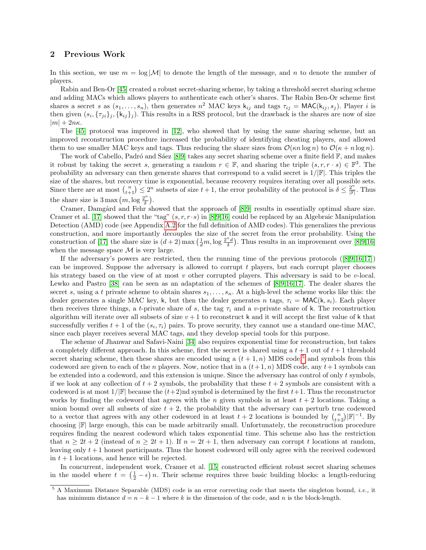## 2 Previous Work

In this section, we use  $m = \log |\mathcal{M}|$  to denote the length of the message, and n to denote the number of players.

Rabin and Ben-Or [\[45\]](#page-13-1) created a robust secret-sharing scheme, by taking a threshold secret sharing scheme and adding MACs which allows players to authenticate each other's shares. The Rabin Ben-Or scheme first shares a secret s as  $(s_1, \ldots, s_n)$ , then generates  $n^2$  MAC keys  $k_{ij}$  and tags  $\tau_{ij} = \text{MAC}(k_{ij}, s_j)$ . Player i is then given  $(s_i, \{\tau_{ji}\}_j, \{k_{ij}\}_j)$ . This results in a RSS protocol, but the drawback is the shares are now of size  $|m| + 2n\kappa$ .

The [\[45\]](#page-13-1) protocol was improved in [\[12\]](#page-12-5), who showed that by using the same sharing scheme, but an improved reconstruction procedure increased the probability of identifying cheating players, and allowed them to use smaller MAC keys and tags. Thus reducing the share sizes from  $\mathcal{O}(\kappa n \log n)$  to  $\mathcal{O}(\kappa + n \log n)$ .

The work of Cabello, Padró and Sáez [\[8,](#page-12-2)[9\]](#page-12-8) takes any secret sharing scheme over a finite field  $\mathbb{F}$ , and makes it robust by taking the secret s, generating a random  $r \in \mathbb{F}$ , and sharing the triple  $(s, r, r \cdot s) \in \mathbb{F}^3$ . The probability an adversary can then generate shares that correspond to a valid secret is  $1/|\mathbb{F}|$ . This triples the size of the shares, but recovery time is exponential, because recovery requires iterating over all possible sets. Since there are at most  $\binom{n}{t+1} \leq 2^n$  subsets of size  $t + 1$ , the error probability of the protocol is  $\delta \leq \frac{2^n}{\mathbb{F}}$ . Thus the share size is  $3 \max(m, \log \frac{2^n}{\delta})$  $\frac{2^n}{\delta}$ ).

Cramer, Damgård and Fehr showed that the approach of [\[8,](#page-12-2)[9\]](#page-12-8) results in essentially optimal share size. Cramer et al. [\[17\]](#page-12-4) showed that the "tag"  $(s, r, r \cdot s)$  in [\[8,](#page-12-2)[9,](#page-12-8)[16\]](#page-12-3) could be replaced by an Algebraic Manipulation Detection (AMD) code (see Appendix [A.2](#page-14-0) for the full definition of AMD codes). This generalizes the previous construction, and more importantly decouples the size of the secret from the error probability. Using the construction of [\[17\]](#page-12-4) the share size is  $(d+2)$  max  $(\frac{1}{d}m, \log \frac{2^n d}{\delta})$ . Thus results in an improvement over [\[8,](#page-12-2)[9](#page-12-8)[,16\]](#page-12-3) when the message space  $\mathcal M$  is very large.

If the adversary's powers are restricted, then the running time of the previous protocols ([\[8,](#page-12-2)[9,](#page-12-8)[16,](#page-12-3)[17\]](#page-12-4)) can be improved. Suppose the adversary is allowed to corrupt  $t$  players, but each corrupt player chooses his strategy based on the view of at most  $v$  other corrupted players. This adversary is said to be  $v$ -local. Lewko and Pastro [\[38\]](#page-13-6) can be seen as an adaptation of the schemes of [\[8,](#page-12-2)[9](#page-12-8)[,16,](#page-12-3)[17\]](#page-12-4). The dealer shares the secret s, using a t private scheme to obtain shares  $s_1, \ldots, s_n$ . At a high-level the scheme works like this: the dealer generates a single MAC key, k, but then the dealer generates n tags,  $\tau_i = \text{MAC}(k, s_i)$ . Each player then receives three things, a t-private share of s, the tag  $\tau_i$  and a v-private share of k. The reconstruction algorithm will iterate over all subsets of size  $v + 1$  to reconstruct k and it will accept the first value of k that successfully verifies  $t + 1$  of the  $(s_i, \tau_i)$  pairs. To prove security, they cannot use a standard one-time MAC, since each player receives several MAC tags, and they develop special tools for this purpose.

The scheme of Jhanwar and Safavi-Naini [\[34\]](#page-13-5) also requires exponential time for reconstruction, but takes a completely different approach. In this scheme, first the secret is shared using a  $t + 1$  out of  $t + 1$  threshold secret sharing scheme, then these shares are encoded using a  $(t + 1, n)$  MDS code,<sup>[5](#page-2-0)</sup> and symbols from this codeword are given to each of the n players. Now, notice that in a  $(t+1, n)$  MDS code, any  $t+1$  symbols can be extended into a codeword, and this extension is unique. Since the adversary has control of only t symbols, if we look at any collection of  $t + 2$  symbols, the probability that these  $t + 2$  symbols are consistent with a codeword is at most  $1/|\mathbb{F}|$  because the  $(t+2)$ nd symbol is determined by the first  $t+1$ . Thus the reconstructor works by finding the codeword that agrees with the n given symbols in at least  $t + 2$  locations. Taking a union bound over all subsets of size  $t + 2$ , the probability that the adversary can perturb true codeword to a vector that agrees with any other codeword in at least  $t + 2$  locations is bounded by  $\binom{n}{t+2}$   $\mathbb{F}$  $^{-1}$ . By choosing  $\mathbb{F}$  large enough, this can be made arbitrarily small. Unfortunately, the reconstruction procedure requires finding the nearest codeword which takes exponential time. This scheme also has the restriction that  $n \geq 2t + 2$  (instead of  $n \geq 2t + 1$ ). If  $n = 2t + 1$ , then adversary can corrupt t locations at random, leaving only  $t+1$  honest participants. Thus the honest codeword will only agree with the received codeword in  $t + 1$  locations, and hence will be rejected.

In concurrent, independent work, Cramer et al. [\[15\]](#page-12-7) constructed efficient robust secret sharing schemes in the model where  $t = (\frac{1}{2} - \epsilon) n$ . Their scheme requires three basic building blocks: a length-reducing

<span id="page-2-0"></span> $5$  A Maximum Distance Separable (MDS) code is an error correcting code that meets the singleton bound, *i.e.*, it has minimum distance  $d = n - k - 1$  where k is the dimension of the code, and n is the block-length.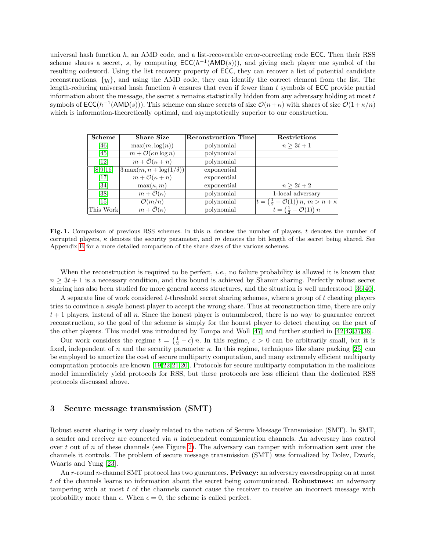universal hash function h, an AMD code, and a list-recoverable error-correcting code ECC. Then their RSS scheme shares a secret, s, by computing  $\mathsf{ECC}(h^{-1}(\mathsf{AMD}(s)))$ , and giving each player one symbol of the resulting codeword. Using the list recovery property of ECC, they can recover a list of potential candidate reconstructions,  $\{y_i\}$ , and using the AMD code, they can identify the correct element from the list. The length-reducing universal hash function  $h$  ensures that even if fewer than  $t$  symbols of ECC provide partial information about the message, the secret s remains statistically hidden from any adversary holding at most  $t$ symbols of  $\mathsf{ECC}(h^{-1}(\mathsf{AMD}(s)))$ . This scheme can share secrets of size  $\mathcal{O}(n+\kappa)$  with shares of size  $\mathcal{O}(1+\kappa/n)$ which is information-theoretically optimal, and asymptotically superior to our construction.

| Scheme                        | <b>Share Size</b>                     | <b>Reconstruction Time</b> | <b>Restrictions</b>                                               |
|-------------------------------|---------------------------------------|----------------------------|-------------------------------------------------------------------|
| [46]                          | $\max(m, \log(n))$                    | polynomial                 | $n > 3t + 1$                                                      |
| [45]                          | $m + \mathcal{O}(\kappa n \log n)$    | polynomial                 |                                                                   |
| $\left[12\right]$             | $m + \tilde{\mathcal{O}}(\kappa + n)$ | polynomial                 |                                                                   |
| [8,9,16]                      | $3\max(m, n + \log(1/\delta))$        | exponential                |                                                                   |
| $[17]$                        | $m + \mathcal{O}(\kappa + n)$         | exponential                |                                                                   |
| [34]                          | $\max(\kappa, m)$                     | exponential                | $n > 2t + 2$                                                      |
| [38]                          | $m + \mathcal{O}(\kappa)$             | polynomial                 | 1-local adversary                                                 |
| $\left\lceil 15 \right\rceil$ | $\mathcal{O}(m/n)$                    | polynomial                 | $t = \left(\frac{1}{2} - \mathcal{O}(1)\right) n, m > n + \kappa$ |
| This Work                     | $m + \tilde{\mathcal{O}}(\kappa)$     | polynomial                 | $t = (\frac{1}{2} - \mathcal{O}(1)) n$                            |

Fig. 1. Comparison of previous RSS schemes. In this n denotes the number of players, t denotes the number of corrupted players,  $\kappa$  denotes the security parameter, and m denotes the bit length of the secret being shared. See Appendix [B](#page-15-0) for a more detailed comparison of the share sizes of the various schemes.

When the reconstruction is required to be perfect, *i.e.*, no failure probability is allowed it is known that  $n \geq 3t + 1$  is a necessary condition, and this bound is achieved by Shamir sharing. Perfectly robust secret sharing has also been studied for more general access structures, and the situation is well understood [\[36,](#page-13-7)[40\]](#page-13-8).

A separate line of work considered t-threshold secret sharing schemes, where a group of t cheating players tries to convince a *single* honest player to accept the wrong share. Thus at reconstruction time, there are only  $t + 1$  players, instead of all n. Since the honest player is outnumbered, there is no way to guarantee correct reconstruction, so the goal of the scheme is simply for the honest player to detect cheating on the part of the other players. This model was introduced by Tompa and Woll [\[47\]](#page-13-2) and further studied in [\[42,](#page-13-9)[43,](#page-13-10)[37,](#page-13-0)[36\]](#page-13-7).

Our work considers the regime  $t = (\frac{1}{2} - \epsilon) n$ . In this regime,  $\epsilon > 0$  can be arbitrarily small, but it is fixed, independent of n and the security parameter  $\kappa$ . In this regime, techniques like share packing [\[25\]](#page-13-11) can be employed to amortize the cost of secure multiparty computation, and many extremely efficient multiparty computation protocols are known [\[19,](#page-12-9)[22](#page-12-10)[,21,](#page-12-11)[20\]](#page-12-12). Protocols for secure multiparty computation in the malicious model immediately yield protocols for RSS, but these protocols are less efficient than the dedicated RSS protocols discussed above.

## 3 Secure message transmission (SMT)

Robust secret sharing is very closely related to the notion of Secure Message Transmission (SMT). In SMT, a sender and receiver are connected via  $n$  independent communication channels. An adversary has control over t out of n of these channels (see Figure [2\)](#page-4-1). The adversary can tamper with information sent over the channels it controls. The problem of secure message transmission (SMT) was formalized by Dolev, Dwork, Waarts and Yung [\[23\]](#page-12-0).

An r-round n-channel SMT protocol has two guarantees. **Privacy:** an adversary eavesdropping on at most t of the channels learns no information about the secret being communicated. Robustness: an adversary tampering with at most t of the channels cannot cause the receiver to receive an incorrect message with probability more than  $\epsilon$ . When  $\epsilon = 0$ , the scheme is called perfect.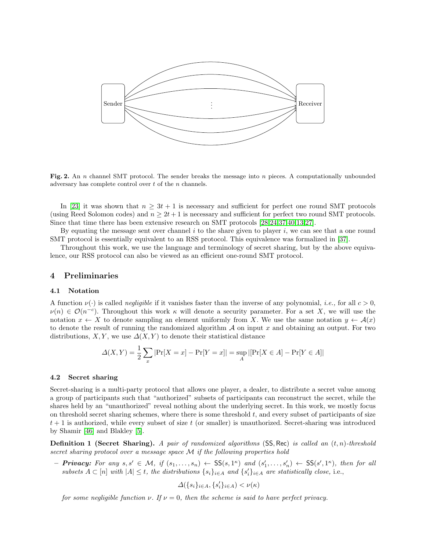

<span id="page-4-1"></span>Fig. 2. An n channel SMT protocol. The sender breaks the message into  $n$  pieces. A computationally unbounded adversary has complete control over  $t$  of the  $n$  channels.

In [\[23\]](#page-12-0) it was shown that  $n \geq 3t + 1$  is necessary and sufficient for perfect one round SMT protocols (using Reed Solomon codes) and  $n \geq 2t + 1$  is necessary and sufficient for perfect two round SMT protocols. Since that time there has been extensive research on SMT protocols [\[28,](#page-13-12)[24,](#page-12-13)[37,](#page-13-0)[40,](#page-13-8)[13,](#page-12-14)[27\]](#page-13-13).

By equating the message sent over channel i to the share given to player i, we can see that a one round SMT protocol is essentially equivalent to an RSS protocol. This equivalence was formalized in [\[37\]](#page-13-0).

Throughout this work, we use the language and terminology of secret sharing, but by the above equivalence, our RSS protocol can also be viewed as an efficient one-round SMT protocol.

#### 4 Preliminaries

#### 4.1 Notation

A function  $\nu(\cdot)$  is called *negligible* if it vanishes faster than the inverse of any polynomial, *i.e.*, for all  $c > 0$ ,  $\nu(n) \in \mathcal{O}(n^{-c})$ . Throughout this work  $\kappa$  will denote a security parameter. For a set X, we will use the notation  $x \leftarrow X$  to denote sampling an element uniformly from X. We use the same notation  $y \leftarrow \mathcal{A}(x)$ to denote the result of running the randomized algorithm  $A$  on input x and obtaining an output. For two distributions,  $X, Y$ , we use  $\Delta(X, Y)$  to denote their statistical distance

$$
\Delta(X, Y) = \frac{1}{2} \sum_{x} |Pr[X = x] - Pr[Y = x]| = \sup_{A} |[Pr[X \in A] - Pr[Y \in A]|
$$

#### <span id="page-4-0"></span>4.2 Secret sharing

Secret-sharing is a multi-party protocol that allows one player, a dealer, to distribute a secret value among a group of participants such that "authorized" subsets of participants can reconstruct the secret, while the shares held by an "unauthorized" reveal nothing about the underlying secret. In this work, we mostly focus on threshold secret sharing schemes, where there is some threshold t, and every subset of participants of size  $t + 1$  is authorized, while every subset of size t (or smaller) is unauthorized. Secret-sharing was introduced by Shamir [\[46\]](#page-13-3) and Blakley [\[5\]](#page-12-1).

**Definition 1 (Secret Sharing).** A pair of randomized algorithms  $(SS, Rec)$  is called an  $(t, n)$ -threshold secret sharing protocol over a message space M if the following properties hold

 $-$  **Privacy:** For any  $s, s' \in \mathcal{M}$ , if  $(s_1, \ldots, s_n) \leftarrow \mathsf{SS}(s, 1^{\kappa})$  and  $(s'_1, \ldots, s'_n) \leftarrow \mathsf{SS}(s', 1^{\kappa})$ , then for all subsets  $A \subset [n]$  with  $|A| \leq t$ , the distributions  $\{s_i\}_{i \in A}$  and  $\{s_i'\}_{i \in A}$  are statistically close, i.e.,

$$
\varDelta(\{s_i\}_{i\in A}, \{s_i'\}_{i\in A})<\nu(\kappa)
$$

for some negligible function  $\nu$ . If  $\nu = 0$ , then the scheme is said to have perfect privacy.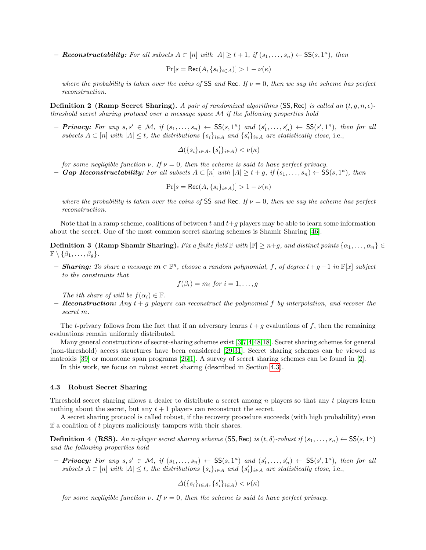**- Reconstructability:** For all subsets  $A \subset [n]$  with  $|A| \ge t+1$ , if  $(s_1, \ldots, s_n) \leftarrow \mathsf{SS}(s, 1^{\kappa})$ , then

$$
\Pr[s = \text{Rec}(A, \{s_i\}_{i \in A})] > 1 - \nu(\kappa)
$$

where the probability is taken over the coins of SS and Rec. If  $\nu = 0$ , then we say the scheme has perfect reconstruction.

**Definition 2 (Ramp Secret Sharing).** A pair of randomized algorithms (SS, Rec) is called an  $(t, g, n, \epsilon)$ threshold secret sharing protocol over a message space M if the following properties hold

 $-$  **Privacy:** For any  $s, s' \in \mathcal{M}$ , if  $(s_1, \ldots, s_n) \leftarrow \mathsf{SS}(s, 1^{\kappa})$  and  $(s'_1, \ldots, s'_n) \leftarrow \mathsf{SS}(s', 1^{\kappa})$ , then for all subsets  $A \subset [n]$  with  $|A| \leq t$ , the distributions  $\{s_i\}_{i \in A}$  and  $\{s_i'\}_{i \in A}$  are statistically close, i.e.,

$$
\varDelta(\{s_i\}_{i\in A}, \{s_i'\}_{i\in A})<\nu(\kappa)
$$

for some negligible function  $\nu$ . If  $\nu = 0$ , then the scheme is said to have perfect privacy. **– Gap Reconstructability:** For all subsets  $A \subset [n]$  with  $|A| \ge t + g$ , if  $(s_1, \ldots, s_n) \leftarrow \mathsf{SS}(s, 1^{\kappa})$ , then

$$
\Pr[s = \text{Rec}(A, \{s_i\}_{i \in A})] > 1 - \nu(\kappa)
$$

where the probability is taken over the coins of SS and Rec. If  $\nu = 0$ , then we say the scheme has perfect reconstruction.

Note that in a ramp scheme, coalitions of between t and  $t+q$  players may be able to learn some information about the secret. One of the most common secret sharing schemes is Shamir Sharing [\[46\]](#page-13-3).

**Definition 3 (Ramp Shamir Sharing).** Fix a finite field  $\mathbb{F}$  with  $|\mathbb{F}| \geq n+g$ , and distinct points  $\{\alpha_1, \dots, \alpha_n\} \in$  $\mathbb{F} \setminus \{\beta_1, \ldots, \beta_q\}.$ 

− **Sharing:** To share a message  $m \in \mathbb{F}^g$ , choose a random polynomial, f, of degree  $t+g-1$  in  $\mathbb{F}[x]$  subject to the constraints that

$$
f(\beta_i) = m_i \text{ for } i = 1, \dots, g
$$

The ith share of will be  $f(\alpha_i) \in \mathbb{F}$ .

- **Reconstruction:** Any  $t + g$  players can reconstruct the polynomial f by interpolation, and recover the secret m.

The t-privacy follows from the fact that if an adversary learns  $t + g$  evaluations of f, then the remaining evaluations remain uniformly distributed.

Many general constructions of secret-sharing schemes exist [\[3,](#page-11-0)[7,](#page-12-15)[4,](#page-12-16)[48,](#page-13-14)[18\]](#page-12-17). Secret sharing schemes for general (non-threshold) access structures have been considered [\[29,](#page-13-15)[31\]](#page-13-16). Secret sharing schemes can be viewed as matroids [\[39\]](#page-13-17) or monotone span programs [\[26](#page-13-18)[,1\]](#page-11-1). A survey of secret sharing schemes can be found in [\[2\]](#page-11-2).

In this work, we focus on robust secret sharing (described in Section [4.3\)](#page-5-0).

## <span id="page-5-0"></span>4.3 Robust Secret Sharing

Threshold secret sharing allows a dealer to distribute a secret among n players so that any t players learn nothing about the secret, but any  $t + 1$  players can reconstruct the secret.

A secret sharing protocol is called robust, if the recovery procedure succeeds (with high probability) even if a coalition of t players maliciously tampers with their shares.

**Definition 4 (RSS).** An n-player secret sharing scheme (SS, Rec) is  $(t, \delta)$ -robust if  $(s_1, \ldots, s_n) \leftarrow SS(s, 1^{\kappa})$ and the following properties hold

 $-$  **Privacy:** For any  $s, s' \in \mathcal{M}$ , if  $(s_1, \ldots, s_n) \leftarrow \mathsf{SS}(s, 1^{\kappa})$  and  $(s'_1, \ldots, s'_n) \leftarrow \mathsf{SS}(s', 1^{\kappa})$ , then for all subsets  $A \subset [n]$  with  $|A| \leq t$ , the distributions  $\{s_i\}_{i \in A}$  and  $\{s_i'\}_{i \in A}$  are statistically close, i.e.,

$$
\varDelta(\{s_i\}_{i\in A}, \{s_i'\}_{i\in A})<\nu(\kappa)
$$

for some negligible function  $\nu$ . If  $\nu = 0$ , then the scheme is said to have perfect privacy.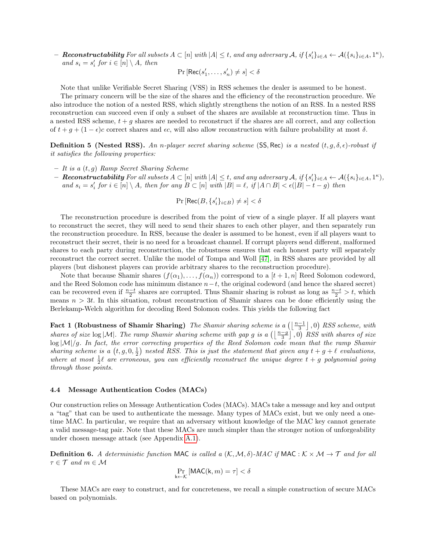$\mathbf{\textit{R}e}$  constructability For all subsets  $A \subset [n]$  with  $|A| \leq t$ , and any adversary  $\mathcal{A}$ , if  $\{s_i'\}_{i \in A} \leftarrow \mathcal{A}(\{s_i\}_{i \in A}, 1^{\kappa})$ , and  $s_i = s'_i$  for  $i \in [n] \setminus A$ , then

$$
\Pr\left[\mathsf{Rec}(s'_1,\ldots,s'_n) \neq s\right] < \delta
$$

Note that unlike Verifiable Secret Sharing (VSS) in RSS schemes the dealer is assumed to be honest.

The primary concern will be the size of the shares and the efficiency of the reconstruction procedure. We also introduce the notion of a nested RSS, which slightly strengthens the notion of an RSS. In a nested RSS reconstruction can succeed even if only a subset of the shares are available at reconstruction time. Thus in a nested RSS scheme,  $t + g$  shares are needed to reconstruct if the shares are all correct, and any collection of  $t + g + (1 - \epsilon)c$  correct shares and  $\epsilon c$ , will also allow reconstruction with failure probability at most  $\delta$ .

**Definition 5 (Nested RSS).** An n-player secret sharing scheme (SS, Rec) is a nested  $(t, g, \delta, \epsilon)$ -robust if it satisfies the following properties:

- $It is a  $(t, g)$  Ramp Secret Sharing Scheme$
- $\mathbf{\textit{R}e}$  constructability For all subsets  $A \subset [n]$  with  $|A| \leq t$ , and any adversary  $\mathcal{A}$ , if  $\{s_i'\}_{i \in A} \leftarrow \mathcal{A}(\{s_i\}_{i \in A}, 1^{\kappa})$ , and  $s_i = s'_i$  for  $i \in [n] \setminus A$ , then for any  $B \subset [n]$  with  $|B| = \ell$ , if  $|A \cap B| < \epsilon (|B| - t - g)$  then
	- $\Pr\left[\mathsf{Rec}(B,\{s_i'\}_{i\in B})\neq s\right]<\delta$

The reconstruction procedure is described from the point of view of a single player. If all players want to reconstruct the secret, they will need to send their shares to each other player, and then separately run the reconstruction procedure. In RSS, because the dealer is assumed to be honest, even if all players want to reconstruct their secret, their is no need for a broadcast channel. If corrupt players send different, malformed shares to each party during reconstruction, the robustness ensures that each honest party will separately reconstruct the correct secret. Unlike the model of Tompa and Woll [\[47\]](#page-13-2), in RSS shares are provided by all players (but dishonest players can provide arbitrary shares to the reconstruction procedure).

Note that because Shamir shares  $(f(\alpha_1), \ldots, f(\alpha_n))$  correspond to a  $[t + 1, n]$  Reed Solomon codeword, and the Reed Solomon code has minimum distance  $n-t$ , the original codeword (and hence the shared secret) can be recovered even if  $\frac{n-t}{2}$  shares are corrupted. Thus Shamir sharing is robust as long as  $\frac{n-t}{2} > t$ , which means  $n > 3t$ . In this situation, robust reconstruction of Shamir shares can be done efficiently using the Berlekamp-Welch algorithm for decoding Reed Solomon codes. This yields the following fact

Fact 1 (Robustness of Shamir Sharing) The Shamir sharing scheme is a  $\left(\left\lfloor \frac{n-1}{3}\right\rfloor,0\right)$  RSS scheme, with shares of size  $\log|\mathcal{M}|$ . The ramp Shamir sharing scheme with gap g is a  $(\lfloor \frac{n-g}{3} \rfloor, 0)$  RSS with shares of size  $\log |\mathcal{M}|/g$ . In fact, the error correcting properties of the Reed Solomon code mean that the ramp Shamir sharing scheme is a  $(t, g, 0, \frac{1}{2})$  nested RSS. This is just the statement that given any  $t + g + \ell$  evaluations, where at most  $\frac{1}{2}\ell$  are erroneous, you can efficiently reconstruct the unique degree  $t + g$  polynomial going through those points.

#### 4.4 Message Authentication Codes (MACs)

Our construction relies on Message Authentication Codes (MACs). MACs take a message and key and output a "tag" that can be used to authenticate the message. Many types of MACs exist, but we only need a onetime MAC. In particular, we require that an adversary without knowledge of the MAC key cannot generate a valid message-tag pair. Note that these MACs are much simpler than the stronger notion of unforgeability under chosen message attack (see Appendix [A.1\)](#page-14-1).

**Definition 6.** A deterministic function MAC is called a  $(K, \mathcal{M}, \delta)$ -MAC if MAC :  $K \times \mathcal{M} \rightarrow \mathcal{T}$  and for all  $\tau \in \mathcal{T}$  and  $m \in \mathcal{M}$ 

$$
\Pr_{\mathbf{k}\leftarrow\mathcal{K}}\left[\mathsf{MAC}(\mathbf{k},m)=\tau\right]<\delta
$$

<span id="page-6-0"></span>These MACs are easy to construct, and for concreteness, we recall a simple construction of secure MACs based on polynomials.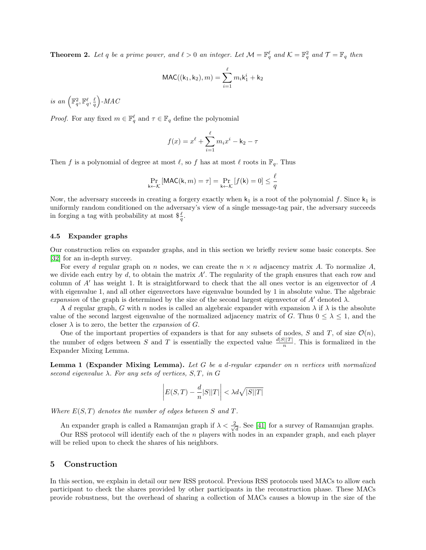**Theorem 2.** Let q be a prime power, and  $\ell > 0$  an integer. Let  $\mathcal{M} = \mathbb{F}_q^{\ell}$  and  $\mathcal{K} = \mathbb{F}_q^2$  and  $\mathcal{T} = \mathbb{F}_q$  then

$$
\text{MAC}((\mathbf{k}_1, \mathbf{k}_2), m) = \sum_{i=1}^{\ell} m_i \mathbf{k}_1^{i} + \mathbf{k}_2
$$

is an  $\left(\mathbb{F}_{q}^{2},\mathbb{F}_{q}^{\ell},\frac{\ell}{q}\right)$ -MAC

*Proof.* For any fixed  $m \in \mathbb{F}_q^{\ell}$  and  $\tau \in \mathbb{F}_q$  define the polynomial

$$
f(x) = x^{\ell} + \sum_{i=1}^{\ell} m_i x^i - k_2 - \tau
$$

Then f is a polynomial of degree at most  $\ell$ , so f has at most  $\ell$  roots in  $\mathbb{F}_q$ . Thus

$$
\Pr_{\mathsf{k}\leftarrow\mathcal{K}}\left[\mathsf{MAC}(\mathsf{k},m)=\tau\right] = \Pr_{\mathsf{k}\leftarrow\mathcal{K}}\left[f(\mathsf{k})=0\right] \le \frac{\ell}{q}
$$

Now, the adversary succeeds in creating a forgery exactly when  $k_1$  is a root of the polynomial f. Since  $k_1$  is uniformly random conditioned on the adversary's view of a single message-tag pair, the adversary succeeds in forging a tag with probability at most  $\frac{\ell}{q}$ .

#### 4.5 Expander graphs

Our construction relies on expander graphs, and in this section we briefly review some basic concepts. See [\[32\]](#page-13-19) for an in-depth survey.

For every d regular graph on n nodes, we can create the  $n \times n$  adjacency matrix A. To normalize A, we divide each entry by  $d$ , to obtain the matrix  $A'$ . The regularity of the graph ensures that each row and column of  $A'$  has weight 1. It is straightforward to check that the all ones vector is an eigenvector of  $A$ with eigenvalue 1, and all other eigenvectors have eigenvalue bounded by 1 in absolute value. The algebraic expansion of the graph is determined by the size of the second largest eigenvector of A' denoted  $\lambda$ .

A d regular graph, G with n nodes is called an algebraic expander with expansion  $\lambda$  if  $\lambda$  is the absolute value of the second largest eigenvalue of the normalized adjacency matrix of G. Thus  $0 \leq \lambda \leq 1$ , and the closer  $\lambda$  is to zero, the better the *expansion* of G.

One of the important properties of expanders is that for any subsets of nodes, S and T, of size  $\mathcal{O}(n)$ , the number of edges between S and T is essentially the expected value  $\frac{d|S||T|}{n}$ . This is formalized in the Expander Mixing Lemma.

Lemma 1 (Expander Mixing Lemma). Let G be a d-regular expander on n vertices with normalized second eigenvalue  $\lambda$ . For any sets of vertices,  $S, T, in G$ 

$$
\left| E(S,T) - \frac{d}{n}|S||T| \right| < \lambda d\sqrt{|S||T|}
$$

Where  $E(S,T)$  denotes the number of edges between S and T.

An expander graph is called a Ramanujan graph if  $\lambda < \frac{2}{\sqrt{2}}$  $\frac{d}{d}$ . See [\[41\]](#page-13-20) for a survey of Ramanujan graphs. Our RSS protocol will identify each of the n players with nodes in an expander graph, and each player will be relied upon to check the shares of his neighbors.

## 5 Construction

In this section, we explain in detail our new RSS protocol. Previous RSS protocols used MACs to allow each participant to check the shares provided by other participants in the reconstruction phase. These MACs provide robustness, but the overhead of sharing a collection of MACs causes a blowup in the size of the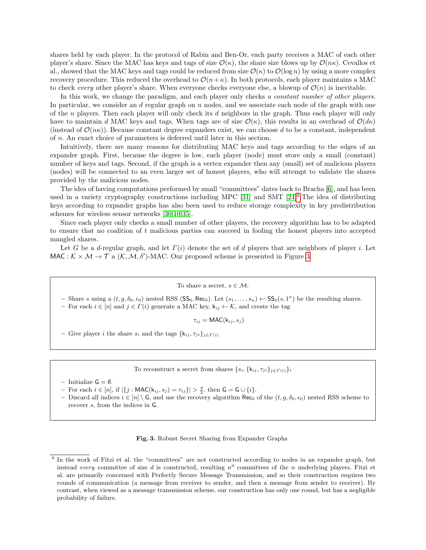shares held by each player. In the protocol of Rabin and Ben-Or, each party receives a MAC of each other player's share. Since the MAC has keys and tags of size  $\mathcal{O}(\kappa)$ , the share size blows up by  $\mathcal{O}(n\kappa)$ . Cevallos et al., showed that the MAC keys and tags could be reduced from size  $\mathcal{O}(\kappa)$  to  $\mathcal{O}(\log n)$  by using a more complex recovery procedure. This reduced the overhead to  $\mathcal{O}(n+\kappa)$ . In both protocols, each player maintains a MAC to check every other player's share. When everyone checks everyone else, a blowup of  $\mathcal{O}(n)$  is inevitable.

In this work, we change the paradigm, and each player only checks a constant number of other players. In particular, we consider an  $d$  regular graph on  $n$  nodes, and we associate each node of the graph with one of the n players. Then each player will only check its d neighbors in the graph. Thus each player will only have to maintain d MAC keys and tags. When tags are of size  $\mathcal{O}(\kappa)$ , this results in an overhead of  $\mathcal{O}(d\kappa)$ (instead of  $\mathcal{O}(n\kappa)$ ). Because constant degree expanders exist, we can choose d to be a constant, independent of n. An exact choice of parameters is deferred until later in this section.

Intuitively, there are many reasons for distributing MAC keys and tags according to the edges of an expander graph. First, because the degree is low, each player (node) must store only a small (constant) number of keys and tags. Second, if the graph is a vertex expander then any (small) set of malicious players (nodes) will be connected to an even larger set of honest players, who will attempt to validate the shares provided by the malicious nodes.

The idea of having computations performed by small "committees" dates back to Bracha [\[6\]](#page-12-18), and has been used in a variety cryptography constructions including MPC [\[31\]](#page-13-16) and SMT  $[24]^{6}$  $[24]^{6}$  $[24]^{6}$  $[24]^{6}$ . The idea of distributing keys according to expander graphs has also been used to reduce storage complexity in key predistribution schemes for wireless sensor networks [\[30,](#page-13-21)[10](#page-12-19)[,35\]](#page-13-22).

Since each player only checks a small number of other players, the recovery algorithm has to be adapted to ensure that no coalition of  $t$  malicious parties can succeed in fooling the honest players into accepted mangled shares.

Let G be a d-regular graph, and let  $\Gamma(i)$  denote the set of d players that are neighbors of player i. Let MAC :  $K \times M \rightarrow T$  a  $(K, M, \delta')$ -MAC. Our proposed scheme is presented in Figure [3.](#page-8-1)

#### To share a secret,  $s \in \mathcal{M}$ :

- Share s using a  $(t, g, \delta_0, \epsilon_0)$  nested RSS (SS<sub>0</sub>, Rec<sub>0</sub>). Let  $(s_1, \ldots, s_n) \leftarrow SS_0(s, 1^{\kappa})$  be the resulting shares. – For each  $i \in [n]$  and  $j \in \Gamma(i)$  generate a MAC key,  $k_{ij} \leftarrow \mathcal{K}$ , and create the tag

 $\tau_{ij} = \text{MAC}(k_{ij}, s_j)$ 

– Give player *i* the share  $s_i$  and the tags  $\{k_{ij}, \tau_{ji}\}_{i \in \Gamma(i)}$ 

To reconstruct a secret from shares  $\{s_i, \{k_{ij}, \tau_{ji}\}_{j \in \Gamma(i)}\}_i$ 

- Initialize  $G = \emptyset$ .
- $-$  For each  $i \in [n]$ , if  $|\{j : \text{MAC}(k_{ij}, s_j) = \tau_{ij}\}| > \frac{d}{2}$ , then **G** = **G** ∪ {*i*}.
- Discard all indices  $i \in [n] \setminus G$ , and use the recovery algorithm Rec<sub>0</sub> of the  $(t, g, \delta_0, \epsilon_0)$  nested RSS scheme to recover s, from the indices in G.

#### <span id="page-8-1"></span>Fig. 3. Robust Secret Sharing from Expander Graphs

<span id="page-8-0"></span><sup>&</sup>lt;sup>6</sup> In the work of Fitzi et al. the "committees" are not constructed according to nodes in an expander graph, but instead every committee of size d is constructed, resulting  $n^d$  committees of the n underlying players. Fitzi et al. are primarily concerned with Perfectly Secure Message Transmission, and so their construction requires two rounds of communication (a message from receiver to sender, and then a message from sender to receiver). By contrast, when viewed as a message transmission scheme, our construction has only one round, but has a negligible probability of failure.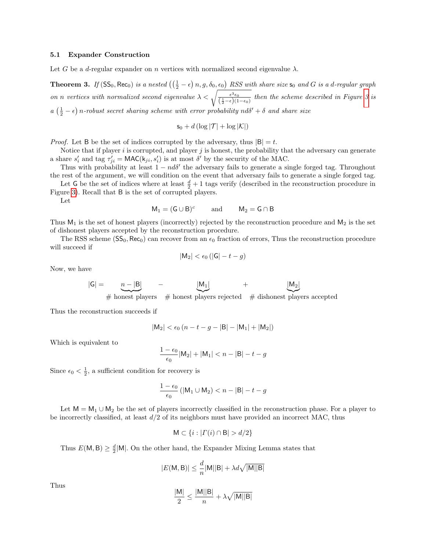#### 5.1 Expander Construction

<span id="page-9-0"></span>Let G be a d-regular expander on n vertices with normalized second eigenvalue  $\lambda$ .

**Theorem 3.** If  $(SS_0, Rec_0)$  is a nested  $(\left(\frac{1}{2} - \epsilon\right)n, g, \delta_0, \epsilon_0)$  RSS with share size  $s_0$  and G is a d-regular graph on n vertices with normalized second eigenvalue  $\lambda < \sqrt{\frac{\epsilon^3 \epsilon_0}{(\frac{1}{2}-\epsilon)(1-\epsilon_0)}}$  then the scheme described in Figure [3](#page-8-1) is  $a\left(\frac{1}{2}-\epsilon\right)$  n-robust secret sharing scheme with error probability  $nd\delta' + \delta$  and share size

$$
\mathsf{s}_0 + d\left(\log|\mathcal{T}| + \log|\mathcal{K}|\right)
$$

*Proof.* Let B be the set of indices corrupted by the adversary, thus  $|B| = t$ .

Notice that if player i is corrupted, and player  $j$  is honest, the probability that the adversary can generate a share  $s'_i$  and tag  $\tau'_{ji} = \text{MAC}(k_{ji}, s'_i)$  is at most  $\delta'$  by the security of the MAC.

Thus with probability at least  $1 - nd\delta'$  the adversary fails to generate a single forged tag. Throughout the rest of the argument, we will condition on the event that adversary fails to generate a single forged tag.

Let G be the set of indices where at least  $\frac{d}{2} + 1$  tags verify (described in the reconstruction procedure in Figure [3\)](#page-8-1). Recall that B is the set of corrupted players.

Let

$$
M_1 = (G \cup B)^c
$$
 and  $M_2 = G \cap B$ 

Thus  $M_1$  is the set of honest players (incorrectly) rejected by the reconstruction procedure and  $M_2$  is the set of dishonest players accepted by the reconstruction procedure.

The RSS scheme  $(SS_0, Rec_0)$  can recover from an  $\epsilon_0$  fraction of errors, Thus the reconstruction procedure will succeed if

$$
|\mathsf{M}_2| < \epsilon_0 \left( |\mathsf{G}| - t - g \right)
$$

Now, we have

$$
|G| = \underbrace{n-|B|}_{\text{with } I} \quad - \underbrace{|M_1|}_{\text{with } I} \quad + \underbrace{|M_2|}_{\text{with } I}.
$$

 $#$  honest players  $#$  honest players rejected  $#$  dishonest players accepted

Thus the reconstruction succeeds if

$$
|M_2| < \epsilon_0 \left( n - t - g - |B| - |M_1| + |M_2| \right)
$$

Which is equivalent to

$$
\frac{1-\epsilon_0}{\epsilon_0} |M_2| + |M_1| < n - |B| - t - g
$$

Since  $\epsilon_0 < \frac{1}{2}$ , a sufficient condition for recovery is

$$
\frac{1-\epsilon_0}{\epsilon_0} \left( |M_1 \cup M_2| < n - |B| - t - g \right)
$$

Let  $M = M_1 \cup M_2$  be the set of players incorrectly classified in the reconstruction phase. For a player to be incorrectly classified, at least  $d/2$  of its neighbors must have provided an incorrect MAC, thus

$$
M \subset \{i : | \Gamma(i) \cap B | > d/2\}
$$

Thus  $E(M, B) \geq \frac{d}{2}|M|$ . On the other hand, the Expander Mixing Lemma states that

$$
|E(\mathsf{M},\mathsf{B})|\leq \frac{d}{n}|\mathsf{M}||\mathsf{B}|+\lambda d\sqrt{|\mathsf{M}||\mathsf{B}|}
$$

Thus

$$
\frac{|M|}{2} \le \frac{|M||B|}{n} + \lambda \sqrt{|M||B|}
$$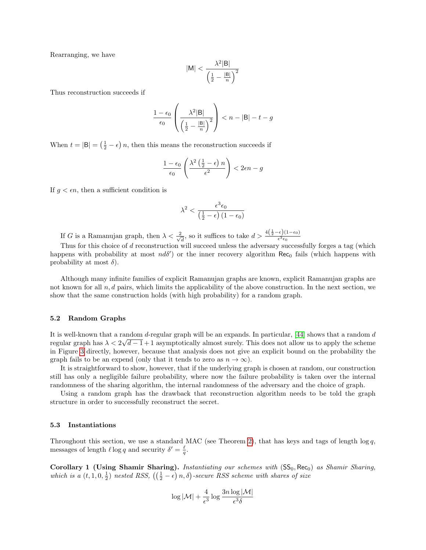Rearranging, we have

$$
|\mathsf{M}| < \frac{\lambda^2 |\mathsf{B}|}{\left(\frac{1}{2} - \frac{|\mathsf{B}|}{n}\right)^2}
$$

Thus reconstruction succeeds if

$$
\frac{1 - \epsilon_0}{\epsilon_0} \left( \frac{\lambda^2 |\mathsf{B}|}{\left(\frac{1}{2} - \frac{|\mathsf{B}|}{n}\right)^2} \right) < n - |\mathsf{B}| - t - g
$$

When  $t = |\mathsf{B}| = (\frac{1}{2} - \epsilon) n$ , then this means the reconstruction succeeds if

$$
\frac{1-\epsilon_0}{\epsilon_0} \left( \frac{\lambda^2 \left( \frac{1}{2} - \epsilon \right) n}{\epsilon^2} \right) < 2\epsilon n - g
$$

If  $g < \epsilon n$ , then a sufficient condition is

$$
\lambda^2 < \frac{\epsilon^3 \epsilon_0}{\left(\frac{1}{2} - \epsilon\right) \left(1 - \epsilon_0\right)}
$$

If G is a Ramanujan graph, then  $\lambda < \frac{2}{\sqrt{2}}$  $\frac{d}{dt}$ , so it suffices to take  $d > \frac{4(\frac{1}{2} - \epsilon)(1 - \epsilon_0)}{\epsilon^3 \epsilon_0}$ 

Thus for this choice of d reconstruction will succeed unless the adversary successfully forges a tag (which happens with probability at most  $nd\delta'$  or the inner recovery algorithm Rec<sub>0</sub> fails (which happens with probability at most  $\delta$ ).

Although many infinite families of explicit Ramanujan graphs are known, explicit Ramanujan graphs are not known for all  $n, d$  pairs, which limits the applicability of the above construction. In the next section, we show that the same construction holds (with high probability) for a random graph.

#### 5.2 Random Graphs

It is well-known that a random  $d$ -regular graph will be an expands. In particular, [\[44\]](#page-13-23) shows that a random  $d$ regular graph has  $\lambda < 2\sqrt{d-1}+1$  asymptotically almost surely. This does not allow us to apply the scheme in Figure [3](#page-8-1) directly, however, because that analysis does not give an explicit bound on the probability the graph fails to be an expend (only that it tends to zero as  $n \to \infty$ ).

It is straightforward to show, however, that if the underlying graph is chosen at random, our construction still has only a negligible failure probability, where now the failure probability is taken over the internal randomness of the sharing algorithm, the internal randomness of the adversary and the choice of graph.

Using a random graph has the drawback that reconstruction algorithm needs to be told the graph structure in order to successfully reconstruct the secret.

#### 5.3 Instantiations

Throughout this section, we use a standard MAC (see Theorem [2\)](#page-6-0), that has keys and tags of length  $\log q$ , messages of length  $\ell \log q$  and security  $\delta' = \frac{\ell}{q}$ .

<span id="page-10-0"></span>Corollary 1 (Using Shamir Sharing). Instantiating our schemes with  $(SS_0, Rec_0)$  as Shamir Sharing, which is a  $(t, 1, 0, \frac{1}{2})$  nested RSS,  $(\left(\frac{1}{2} - \epsilon\right)n, \delta)$ -secure RSS scheme with shares of size

$$
\log |\mathcal{M}| + \frac{4}{\epsilon^3}\log \frac{3n\log |\mathcal{M}|}{\epsilon^3 \delta}
$$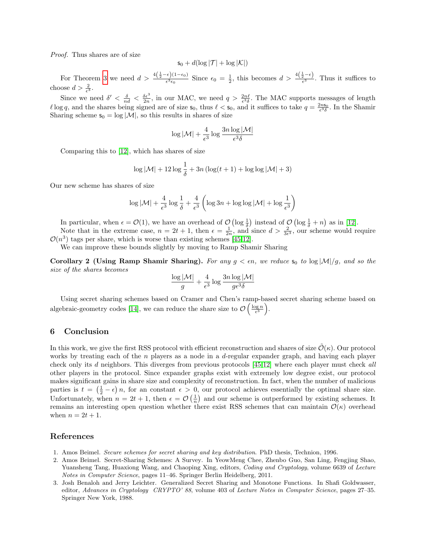Proof. Thus shares are of size

$$
s_0+d(\log |\mathcal{T}|+\log |\mathcal{K}|)
$$

For Theorem [3](#page-9-0) we need  $d > \frac{4(\frac{1}{2}-\epsilon)(1-\epsilon_0)}{\epsilon^3\epsilon_0}$  Since  $\epsilon_0 = \frac{1}{2}$ , this becomes  $d > \frac{4(\frac{1}{2}-\epsilon)}{\epsilon^3}$ . Thus it suffices to choose  $d > \frac{2}{\epsilon^3}$ .

Since we need  $\delta' < \frac{\delta}{nd} < \frac{\delta \epsilon^3}{2n}$ , in our MAC, we need  $q > \frac{2n\ell}{\epsilon^3 \delta}$ . The MAC supports messages of length  $\ell$  log q, and the shares being signed are of size  $s_0$ , thus  $\ell < s_0$ , and it suffices to take  $q = \frac{2n s_0}{\epsilon^3 \delta}$ . In the Shamir Sharing scheme  $s_0 = \log |\mathcal{M}|$ , so this results in shares of size

$$
\log |\mathcal{M}| + \frac{4}{\epsilon^3}\log \frac{3n\log |\mathcal{M}|}{\epsilon^3 \delta}
$$

Comparing this to [\[12\]](#page-12-5), which has shares of size

$$
\log |\mathcal{M}| + 12 \log \frac{1}{\delta} + 3n \left( \log(t+1) + \log \log |\mathcal{M}| + 3 \right)
$$

Our new scheme has shares of size

$$
\log |\mathcal{M}| + \frac{4}{\epsilon^3} \log \frac{1}{\delta} + \frac{4}{\epsilon^3} \left( \log 3n + \log \log |\mathcal{M}| + \log \frac{1}{\epsilon^3} \right)
$$

In particular, when  $\epsilon = \mathcal{O}(1)$ , we have an overhead of  $\mathcal{O}\left(\log \frac{1}{\delta}\right)$  instead of  $\mathcal{O}\left(\log \frac{1}{\delta} + n\right)$  as in [\[12\]](#page-12-5).

Note that in the extreme case,  $n = 2t + 1$ , then  $\epsilon = \frac{1}{2n}$ , and since  $d > \frac{2}{3\epsilon^3}$ , our scheme would require  $\mathcal{O}(n^3)$  tags per share, which is worse than existing schemes [\[45,](#page-13-1)[12\]](#page-12-5).

We can improve these bounds slightly by moving to Ramp Shamir Sharing

Corollary 2 (Using Ramp Shamir Sharing). For any  $g < \epsilon n$ , we reduce  $s_0$  to  $\log|M|/g$ , and so the size of the shares becomes

$$
\frac{\log |\mathcal{M}|}{g} + \frac{4}{\epsilon^3} \log \frac{3n \log |\mathcal{M}|}{g \epsilon^3 \delta}
$$

Using secret sharing schemes based on Cramer and Chen's ramp-based secret sharing scheme based on algebraic-geometry codes [\[14\]](#page-12-20), we can reduce the share size to  $\mathcal{O}\left(\frac{\log n}{\epsilon^3}\right)$ .

## 6 Conclusion

In this work, we give the first RSS protocol with efficient reconstruction and shares of size  $\mathcal{O}(\kappa)$ . Our protocol works by treating each of the  $n$  players as a node in a d-regular expander graph, and having each player check only its d neighbors. This diverges from previous protocols [\[45,](#page-13-1)[12\]](#page-12-5) where each player must check all other players in the protocol. Since expander graphs exist with extremely low degree exist, our protocol makes significant gains in share size and complexity of reconstruction. In fact, when the number of malicious parties is  $t = (\frac{1}{2} - \epsilon) n$ , for an constant  $\epsilon > 0$ , our protocol achieves essentially the optimal share size. Unfortunately, when  $n = 2t + 1$ , then  $\epsilon = \mathcal{O}\left(\frac{1}{n}\right)$  and our scheme is outperformed by existing schemes. It remains an interesting open question whether there exist RSS schemes that can maintain  $\mathcal{O}(\kappa)$  overhead when  $n = 2t + 1$ .

### References

- <span id="page-11-1"></span>1. Amos Beimel. Secure schemes for secret sharing and key distribution. PhD thesis, Technion, 1996.
- <span id="page-11-2"></span>2. Amos Beimel. Secret-Sharing Schemes: A Survey. In YeowMeng Chee, Zhenbo Guo, San Ling, Fengjing Shao, Yuansheng Tang, Huaxiong Wang, and Chaoping Xing, editors, *Coding and Cryptology*, volume 6639 of *Lecture* Notes in Computer Science, pages 11–46. Springer Berlin Heidelberg, 2011.
- <span id="page-11-0"></span>3. Josh Benaloh and Jerry Leichter. Generalized Secret Sharing and Monotone Functions. In Shafi Goldwasser, editor, Advances in Cryptology CRYPTO' 88, volume 403 of Lecture Notes in Computer Science, pages 27–35. Springer New York, 1988.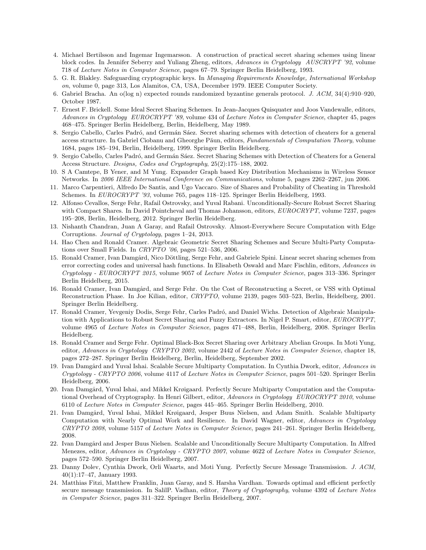- <span id="page-12-16"></span>4. Michael Bertilsson and Ingemar Ingemarsson. A construction of practical secret sharing schemes using linear block codes. In Jennifer Seberry and Yuliang Zheng, editors, Advances in Cryptology AUSCRYPT '92, volume 718 of Lecture Notes in Computer Science, pages 67–79. Springer Berlin Heidelberg, 1993.
- <span id="page-12-1"></span>5. G. R. Blakley. Safeguarding cryptographic keys. In Managing Requirements Knowledge, International Workshop on, volume 0, page 313, Los Alamitos, CA, USA, December 1979. IEEE Computer Society.
- <span id="page-12-18"></span>6. Gabriel Bracha. An o(log n) expected rounds randomized byzantine generals protocol. J. ACM, 34(4):910–920, October 1987.
- <span id="page-12-15"></span>7. Ernest F. Brickell. Some Ideal Secret Sharing Schemes. In Jean-Jacques Quisquater and Joos Vandewalle, editors, Advances in Cryptology EUROCRYPT '89, volume 434 of Lecture Notes in Computer Science, chapter 45, pages 468–475. Springer Berlin Heidelberg, Berlin, Heidelberg, May 1989.
- <span id="page-12-2"></span>8. Sergio Cabello, Carles Padró, and Germán Sáez. Secret sharing schemes with detection of cheaters for a general access structure. In Gabriel Ciobanu and Gheorghe Păun, editors, Fundamentals of Computation Theory, volume 1684, pages 185–194, Berlin, Heidelberg, 1999. Springer Berlin Heidelberg.
- <span id="page-12-8"></span>9. Sergio Cabello, Carles Padró, and Germán Sáez. Secret Sharing Schemes with Detection of Cheaters for a General Access Structure. Designs, Codes and Cryptography, 25(2):175–188, 2002.
- <span id="page-12-19"></span>10. S A Camtepe, B Yener, and M Yung. Expander Graph based Key Distribution Mechanisms in Wireless Sensor Networks. In 2006 IEEE International Conference on Communications, volume 5, pages 2262–2267, jun 2006.
- <span id="page-12-6"></span>11. Marco Carpentieri, Alfredo De Santis, and Ugo Vaccaro. Size of Shares and Probability of Cheating in Threshold Schemes. In EUROCRYPT '93, volume 765, pages 118–125. Springer Berlin Heidelberg, 1993.
- <span id="page-12-5"></span>12. Alfonso Cevallos, Serge Fehr, Rafail Ostrovsky, and Yuval Rabani. Unconditionally-Secure Robust Secret Sharing with Compact Shares. In David Pointcheval and Thomas Johansson, editors, EUROCRYPT, volume 7237, pages 195–208, Berlin, Heidelberg, 2012. Springer Berlin Heidelberg.
- <span id="page-12-14"></span>13. Nishanth Chandran, Juan A Garay, and Rafail Ostrovsky. Almost-Everywhere Secure Computation with Edge Corruptions. Journal of Cryptology, pages 1–24, 2013.
- <span id="page-12-20"></span>14. Hao Chen and Ronald Cramer. Algebraic Geometric Secret Sharing Schemes and Secure Multi-Party Computations over Small Fields. In CRYPTO '06, pages 521–536, 2006.
- <span id="page-12-7"></span>15. Ronald Cramer, Ivan Damgård, Nico Döttling, Serge Fehr, and Gabriele Spini. Linear secret sharing schemes from error correcting codes and universal hash functions. In Elisabeth Oswald and Marc Fischlin, editors, Advances in Cryptology - EUROCRYPT 2015, volume 9057 of Lecture Notes in Computer Science, pages 313–336. Springer Berlin Heidelberg, 2015.
- <span id="page-12-3"></span>16. Ronald Cramer, Ivan Damgård, and Serge Fehr. On the Cost of Reconstructing a Secret, or VSS with Optimal Reconstruction Phase. In Joe Kilian, editor, CRYPTO, volume 2139, pages 503–523, Berlin, Heidelberg, 2001. Springer Berlin Heidelberg.
- <span id="page-12-4"></span>17. Ronald Cramer, Yevgeniy Dodis, Serge Fehr, Carles Padró, and Daniel Wichs. Detection of Algebraic Manipulation with Applications to Robust Secret Sharing and Fuzzy Extractors. In Nigel P. Smart, editor, EUROCRYPT, volume 4965 of Lecture Notes in Computer Science, pages 471–488, Berlin, Heidelberg, 2008. Springer Berlin Heidelberg.
- <span id="page-12-17"></span>18. Ronald Cramer and Serge Fehr. Optimal Black-Box Secret Sharing over Arbitrary Abelian Groups. In Moti Yung, editor, Advances in Cryptology CRYPTO 2002, volume 2442 of Lecture Notes in Computer Science, chapter 18, pages 272–287. Springer Berlin Heidelberg, Berlin, Heidelberg, September 2002.
- <span id="page-12-9"></span>19. Ivan Damgård and Yuval Ishai. Scalable Secure Multiparty Computation. In Cynthia Dwork, editor, Advances in Cryptology - CRYPTO 2006, volume 4117 of Lecture Notes in Computer Science, pages 501–520. Springer Berlin Heidelberg, 2006.
- <span id="page-12-12"></span>20. Ivan Damgård, Yuval Ishai, and Mikkel Krøigaard. Perfectly Secure Multiparty Computation and the Computational Overhead of Cryptography. In Henri Gilbert, editor, Advances in Cryptology EUROCRYPT 2010, volume 6110 of Lecture Notes in Computer Science, pages 445–465. Springer Berlin Heidelberg, 2010.
- <span id="page-12-11"></span>21. Ivan Damgård, Yuval Ishai, Mikkel Krøigaard, Jesper Buus Nielsen, and Adam Smith. Scalable Multiparty Computation with Nearly Optimal Work and Resilience. In David Wagner, editor, Advances in Cryptology CRYPTO 2008, volume 5157 of Lecture Notes in Computer Science, pages 241–261. Springer Berlin Heidelberg, 2008.
- <span id="page-12-10"></span>22. Ivan Damgård and Jesper Buus Nielsen. Scalable and Unconditionally Secure Multiparty Computation. In Alfred Menezes, editor, Advances in Cryptology - CRYPTO 2007, volume 4622 of Lecture Notes in Computer Science, pages 572–590. Springer Berlin Heidelberg, 2007.
- <span id="page-12-0"></span>23. Danny Dolev, Cynthia Dwork, Orli Waarts, and Moti Yung. Perfectly Secure Message Transmission. J. ACM, 40(1):17–47, January 1993.
- <span id="page-12-13"></span>24. Matthias Fitzi, Matthew Franklin, Juan Garay, and S. Harsha Vardhan. Towards optimal and efficient perfectly secure message transmission. In SalilP. Vadhan, editor, Theory of Cryptography, volume 4392 of Lecture Notes in Computer Science, pages 311–322. Springer Berlin Heidelberg, 2007.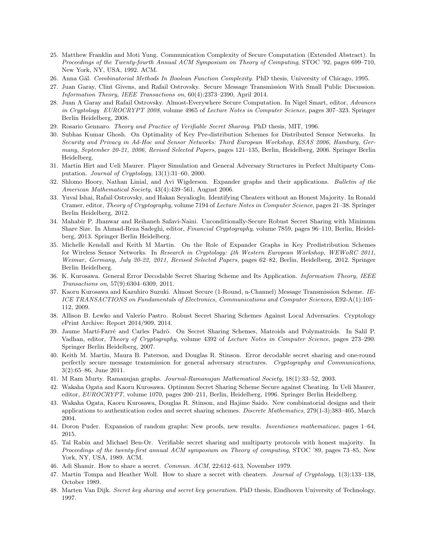- <span id="page-13-11"></span>25. Matthew Franklin and Moti Yung. Communication Complexity of Secure Computation (Extended Abstract). In Proceedings of the Twenty-fourth Annual ACM Symposium on Theory of Computing, STOC '92, pages 699–710, New York, NY, USA, 1992. ACM.
- <span id="page-13-18"></span>26. Anna G´al. Combinatorial Methods In Boolean Function Complexity. PhD thesis, University of Chicago, 1995.
- <span id="page-13-13"></span>27. Juan Garay, Clint Givens, and Rafail Ostrovsky. Secure Message Transmission With Small Public Discussion. Information Theory, IEEE Transactions on, 60(4):2373–2390, April 2014.
- <span id="page-13-12"></span>28. Juan A Garay and Rafail Ostrovsky. Almost-Everywhere Secure Computation. In Nigel Smart, editor, Advances in Cryptology EUROCRYPT 2008, volume 4965 of Lecture Notes in Computer Science, pages 307–323. Springer Berlin Heidelberg, 2008.
- <span id="page-13-15"></span>29. Rosario Gennaro. Theory and Practice of Verifiable Secret Sharing. PhD thesis, MIT, 1996.
- <span id="page-13-21"></span>30. Subhas Kumar Ghosh. On Optimality of Key Pre-distribution Schemes for Distributed Sensor Networks. In Security and Privacy in Ad-Hoc and Sensor Networks: Third European Workshop, ESAS 2006, Hamburg, Germany, September 20-21, 2006, Revised Selected Papers, pages 121–135, Berlin, Heidelberg, 2006. Springer Berlin Heidelberg.
- <span id="page-13-16"></span>31. Martin Hirt and Ueli Maurer. Player Simulation and General Adversary Structures in Perfect Multiparty Computation. Journal of Cryptology,  $13(1):31-60$ , 2000.
- <span id="page-13-19"></span>32. Shlomo Hoory, Nathan Linial, and Avi Wigderson. Expander graphs and their applications. Bulletin of the American Mathematical Society, 43(4):439–561, August 2006.
- <span id="page-13-4"></span>33. Yuval Ishai, Rafail Ostrovsky, and Hakan Seyalioglu. Identifying Cheaters without an Honest Majority. In Ronald Cramer, editor, Theory of Cryptography, volume 7194 of Lecture Notes in Computer Science, pages 21–38. Springer Berlin Heidelberg, 2012.
- <span id="page-13-5"></span>34. Mahabir P. Jhanwar and Reihaneh Safavi-Naini. Unconditionally-Secure Robust Secret Sharing with Minimum Share Size. In Ahmad-Reza Sadeghi, editor, Financial Cryptography, volume 7859, pages 96–110, Berlin, Heidelberg, 2013. Springer Berlin Heidelberg.
- <span id="page-13-22"></span>35. Michelle Kendall and Keith M Martin. On the Role of Expander Graphs in Key Predistribution Schemes for Wireless Sensor Networks. In Research in Cryptology: 4th Western European Workshop, WEWoRC 2011, Weimar, Germany, July 20-22, 2011, Revised Selected Papers, pages 62–82, Berlin, Heidelberg, 2012. Springer Berlin Heidelberg.
- <span id="page-13-7"></span>36. K. Kurosawa. General Error Decodable Secret Sharing Scheme and Its Application. Information Theory, IEEE Transactions on, 57(9):6304–6309, 2011.
- <span id="page-13-0"></span>37. Kaoru Kurosawa and Kazuhiro Suzuki. Almost Secure (1-Round, n-Channel) Message Transmission Scheme. IE-ICE TRANSACTIONS on Fundamentals of Electronics, Communications and Computer Sciences, E92-A(1):105– 112, 2009.
- <span id="page-13-6"></span>38. Allison B. Lewko and Valerio Pastro. Robust Secret Sharing Schemes Against Local Adversaries. Cryptology ePrint Archive: Report 2014/909, 2014.
- <span id="page-13-17"></span>39. Jaume Mart´ı-Farr´e and Carles Padr´o. On Secret Sharing Schemes, Matroids and Polymatroids. In Salil P. Vadhan, editor, Theory of Cryptography, volume 4392 of Lecture Notes in Computer Science, pages 273–290. Springer Berlin Heidelberg, 2007.
- <span id="page-13-8"></span>40. Keith M. Martin, Maura B. Paterson, and Douglas R. Stinson. Error decodable secret sharing and one-round perfectly secure message transmission for general adversary structures. Cryptography and Communications, 3(2):65–86, June 2011.
- <span id="page-13-20"></span>41. M Ram Murty. Ramanujan graphs. Journal-Ramanujan Mathematical Society, 18(1):33–52, 2003.
- <span id="page-13-9"></span>42. Wakaha Ogata and Kaoru Kurosawa. Optimum Secret Sharing Scheme Secure against Cheating. In Ueli Maurer, editor, EUROCRYPT, volume 1070, pages 200–211, Berlin, Heidelberg, 1996. Springer Berlin Heidelberg.
- <span id="page-13-10"></span>43. Wakaha Ogata, Kaoru Kurosawa, Douglas R. Stinson, and Hajime Saido. New combinatorial designs and their applications to authentication codes and secret sharing schemes. Discrete Mathematics, 279(1-3):383–405, March 2004.
- <span id="page-13-23"></span>44. Doron Puder. Expansion of random graphs: New proofs, new results. Inventiones mathematicae, pages 1–64, 2015.
- <span id="page-13-1"></span>45. Tal Rabin and Michael Ben-Or. Verifiable secret sharing and multiparty protocols with honest majority. In Proceedings of the twenty-first annual ACM symposium on Theory of computing, STOC '89, pages 73–85, New York, NY, USA, 1989. ACM.
- <span id="page-13-3"></span>46. Adi Shamir. How to share a secret. Commun. ACM, 22:612–613, November 1979.
- <span id="page-13-2"></span>47. Martin Tompa and Heather Woll. How to share a secret with cheaters. Journal of Cryptology, 1(3):133–138, October 1989.
- <span id="page-13-14"></span>48. Marten Van Dijk. Secret key sharing and secret key generation. PhD thesis, Eindhoven University of Technology, 1997.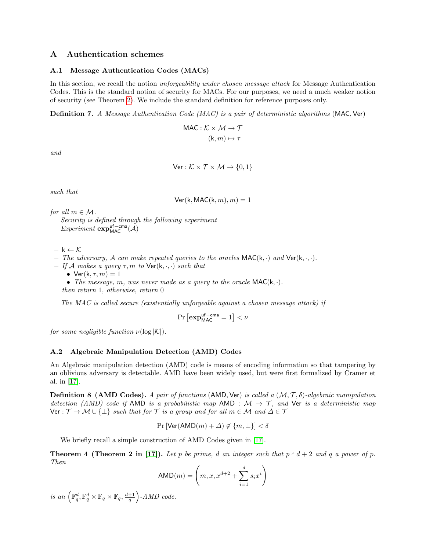## A Authentication schemes

#### <span id="page-14-1"></span>A.1 Message Authentication Codes (MACs)

In this section, we recall the notion unforgeability under chosen message attack for Message Authentication Codes. This is the standard notion of security for MACs. For our purposes, we need a much weaker notion of security (see Theorem [2\)](#page-6-0). We include the standard definition for reference purposes only.

Definition 7. A Message Authentication Code (MAC) is a pair of deterministic algorithms (MAC, Ver)

$$
\begin{aligned} \text{MAC}: \mathcal{K} \times \mathcal{M} \to \mathcal{T} \\ (\mathsf{k}, m) \mapsto \tau \end{aligned}
$$

and

$$
\mathsf{Ver}: \mathcal{K} \times \mathcal{T} \times \mathcal{M} \to \{0, 1\}
$$

such that

 $Ver(k, MAC(k, m), m) = 1$ 

for all  $m \in \mathcal{M}$ .

Security is defined through the following experiment  $Experiment \exp_{MAC}^{uf-cma}(\mathcal{A})$ 

 $- k \leftarrow \mathcal{K}$ 

- The adversary, A can make repeated queries to the oracles  $\text{MAC}(k, \cdot)$  and  $\text{Ver}(k, \cdot, \cdot)$ .
- If A makes a query  $\tau$ , m to  $\text{Ver}(\mathsf{k}, \cdot, \cdot)$  such that

• Ver( $k, \tau, m$ ) = 1

• The message, m, was never made as a query to the oracle  $MAC(k, \cdot)$ .

then return 1, otherwise, return 0

The MAC is called secure (existentially unforgeable against a chosen message attack) if

$$
\Pr\left[\mathbf{exp}^{\mathsf{uf-cma}}_{\mathsf{MAC}} = 1\right] < \nu
$$

for some negligible function  $\nu(\log |\mathcal{K}|)$ .

## <span id="page-14-0"></span>A.2 Algebraic Manipulation Detection (AMD) Codes

An Algebraic manipulation detection (AMD) code is means of encoding information so that tampering by an oblivious adversary is detectable. AMD have been widely used, but were first formalized by Cramer et al. in [\[17\]](#page-12-4).

**Definition 8 (AMD Codes).** A pair of functions (AMD, Ver) is called a  $(M, \mathcal{T}, \delta)$ -algebraic manipulation detection (AMD) code if AMD is a probabilistic map AMD :  $\mathcal{M} \to \mathcal{T}$ , and Ver is a deterministic map Ver :  $\mathcal{T} \to \mathcal{M} \cup {\perp}$  such that for  $\mathcal{T}$  is a group and for all  $m \in \mathcal{M}$  and  $\Delta \in \mathcal{T}$ 

$$
\Pr\left[\text{Ver}(\text{AMD}(m) + \Delta) \not\in \{m, \perp\}\right] < \delta
$$

We briefly recall a simple construction of AMD Codes given in [\[17\]](#page-12-4).

**Theorem 4 (Theorem 2 in [\[17\]](#page-12-4)).** Let p be prime, d an integer such that  $p \nmid d+2$  and q a power of p. Then

$$
AMD(m) = \left(m, x, x^{d+2} + \sum_{i=1}^{d} s_i x^i\right)
$$

is an  $\left(\mathbb{F}_q^d, \mathbb{F}_q^d \times \mathbb{F}_q \times \mathbb{F}_q, \frac{d+1}{q}\right)$ -AMD code.